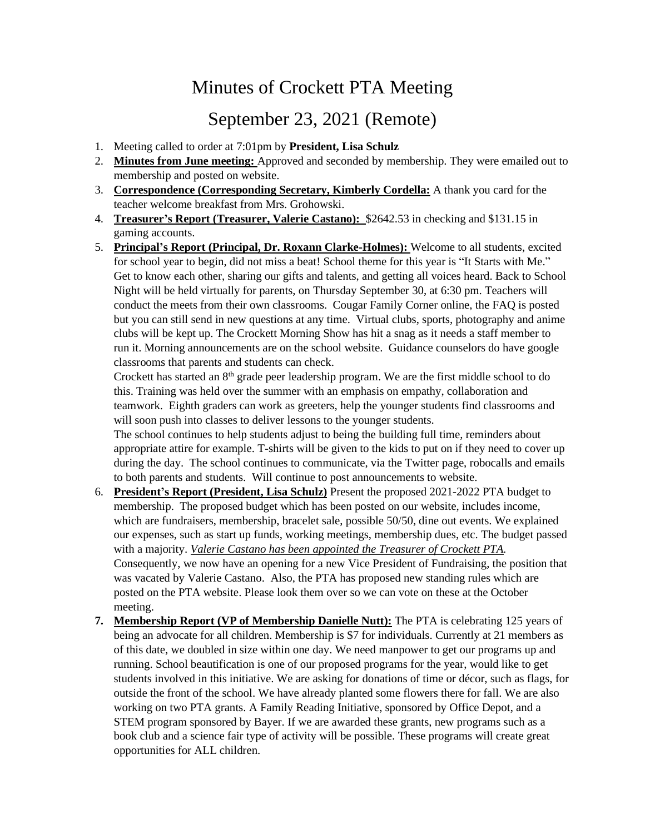## Minutes of Crockett PTA Meeting

## September 23, 2021 (Remote)

- 1. Meeting called to order at 7:01pm by **President, Lisa Schulz**
- 2. **Minutes from June meeting:** Approved and seconded by membership. They were emailed out to membership and posted on website.
- 3. **Correspondence (Corresponding Secretary, Kimberly Cordella:** A thank you card for the teacher welcome breakfast from Mrs. Grohowski.
- 4. **Treasurer's Report (Treasurer, Valerie Castano):** \$2642.53 in checking and \$131.15 in gaming accounts.
- 5. **Principal's Report (Principal, Dr. Roxann Clarke-Holmes):** Welcome to all students, excited for school year to begin, did not miss a beat! School theme for this year is "It Starts with Me." Get to know each other, sharing our gifts and talents, and getting all voices heard. Back to School Night will be held virtually for parents, on Thursday September 30, at 6:30 pm. Teachers will conduct the meets from their own classrooms. Cougar Family Corner online, the FAQ is posted but you can still send in new questions at any time. Virtual clubs, sports, photography and anime clubs will be kept up. The Crockett Morning Show has hit a snag as it needs a staff member to run it. Morning announcements are on the school website. Guidance counselors do have google classrooms that parents and students can check.

Crockett has started an 8<sup>th</sup> grade peer leadership program. We are the first middle school to do this. Training was held over the summer with an emphasis on empathy, collaboration and teamwork. Eighth graders can work as greeters, help the younger students find classrooms and will soon push into classes to deliver lessons to the younger students.

The school continues to help students adjust to being the building full time, reminders about appropriate attire for example. T-shirts will be given to the kids to put on if they need to cover up during the day. The school continues to communicate, via the Twitter page, robocalls and emails to both parents and students. Will continue to post announcements to website.

- 6. **President's Report (President, Lisa Schulz)** Present the proposed 2021-2022 PTA budget to membership. The proposed budget which has been posted on our website, includes income, which are fundraisers, membership, bracelet sale, possible 50/50, dine out events. We explained our expenses, such as start up funds, working meetings, membership dues, etc. The budget passed with a majority. *Valerie Castano has been appointed the Treasurer of Crockett PTA.* Consequently, we now have an opening for a new Vice President of Fundraising, the position that was vacated by Valerie Castano. Also, the PTA has proposed new standing rules which are posted on the PTA website. Please look them over so we can vote on these at the October meeting.
- **7. Membership Report (VP of Membership Danielle Nutt):** The PTA is celebrating 125 years of being an advocate for all children. Membership is \$7 for individuals. Currently at 21 members as of this date, we doubled in size within one day. We need manpower to get our programs up and running. School beautification is one of our proposed programs for the year, would like to get students involved in this initiative. We are asking for donations of time or décor, such as flags, for outside the front of the school. We have already planted some flowers there for fall. We are also working on two PTA grants. A Family Reading Initiative, sponsored by Office Depot, and a STEM program sponsored by Bayer. If we are awarded these grants, new programs such as a book club and a science fair type of activity will be possible. These programs will create great opportunities for ALL children.